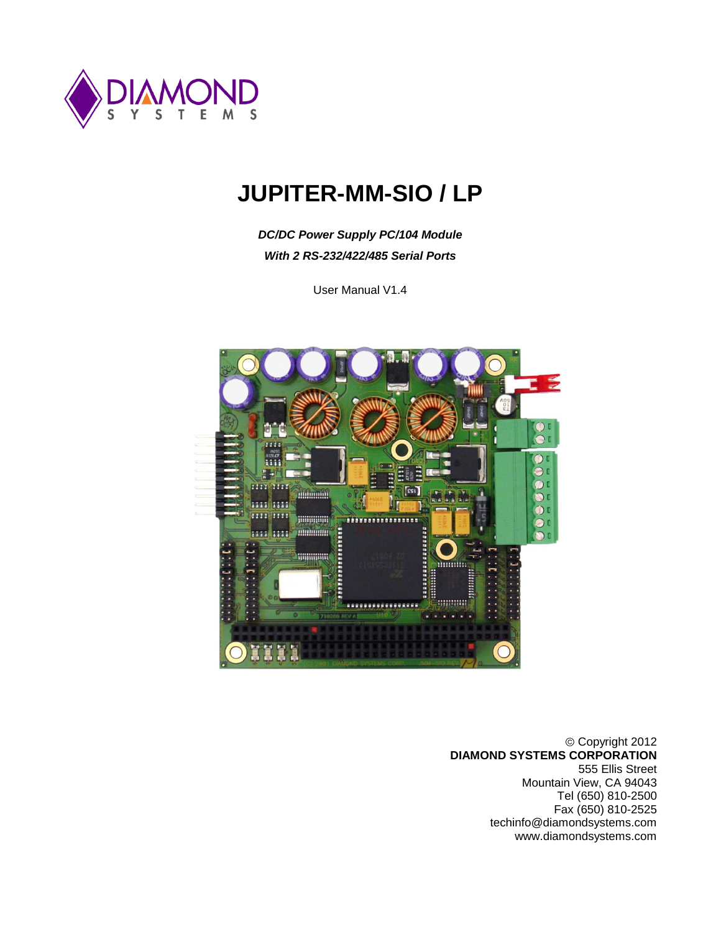

# **JUPITER-MM-SIO / LP**

*DC/DC Power Supply PC/104 Module With 2 RS-232/422/485 Serial Ports*

User Manual V1.4



Copyright 2012 **DIAMOND SYSTEMS CORPORATION** 555 Ellis Street Mountain View, CA 94043 Tel (650) 810-2500 Fax (650) 810-2525 techinfo@diamondsystems.com www.diamondsystems.com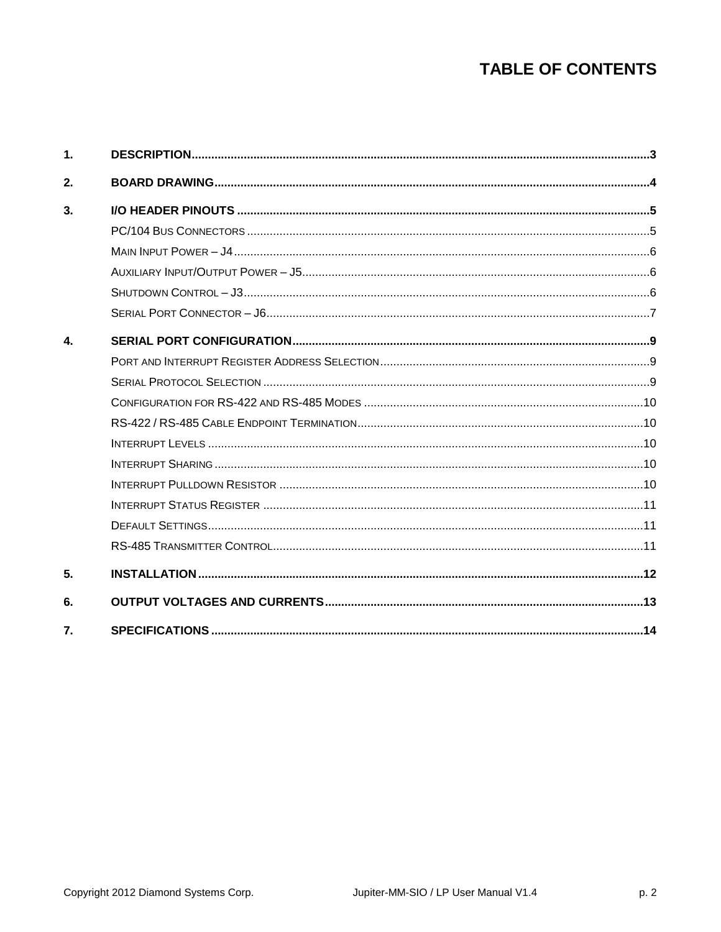# **TABLE OF CONTENTS**

| 1.           |  |
|--------------|--|
| 2.           |  |
| 3.           |  |
|              |  |
|              |  |
|              |  |
|              |  |
|              |  |
| $\mathbf{4}$ |  |
|              |  |
|              |  |
|              |  |
|              |  |
|              |  |
|              |  |
|              |  |
|              |  |
|              |  |
|              |  |
| 5.           |  |
| 6.           |  |
| 7.           |  |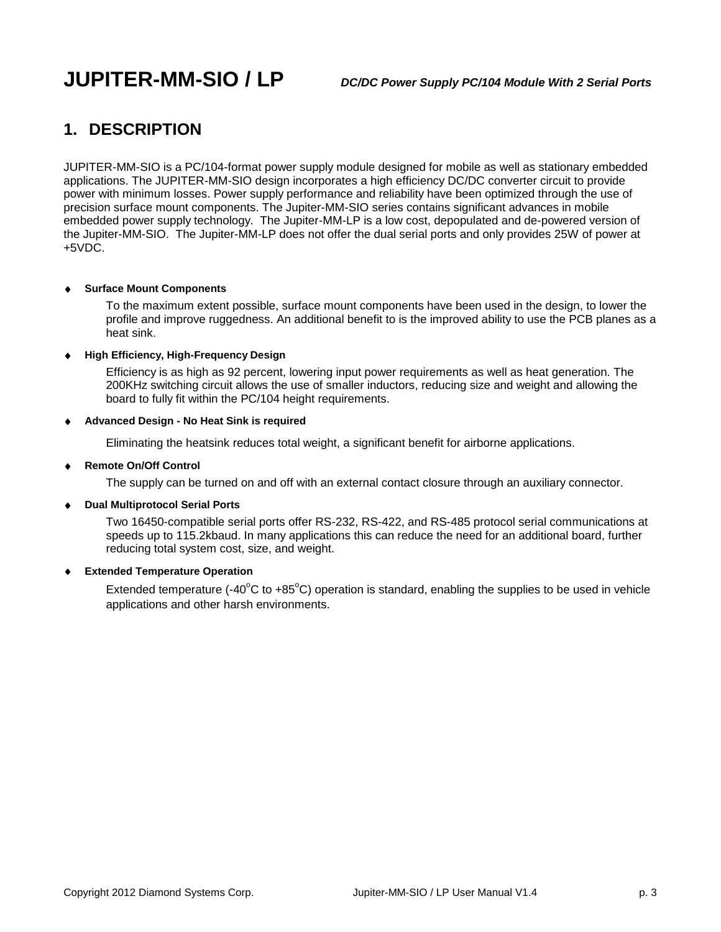# **JUPITER-MM-SIO / LP** *DC/DC Power Supply PC/104 Module With 2 Serial Ports*

## **1. DESCRIPTION**

JUPITER-MM-SIO is a PC/104-format power supply module designed for mobile as well as stationary embedded applications. The JUPITER-MM-SIO design incorporates a high efficiency DC/DC converter circuit to provide power with minimum losses. Power supply performance and reliability have been optimized through the use of precision surface mount components. The Jupiter-MM-SIO series contains significant advances in mobile embedded power supply technology. The Jupiter-MM-LP is a low cost, depopulated and de-powered version of the Jupiter-MM-SIO. The Jupiter-MM-LP does not offer the dual serial ports and only provides 25W of power at +5VDC.

#### **Surface Mount Components**

To the maximum extent possible, surface mount components have been used in the design, to lower the profile and improve ruggedness. An additional benefit to is the improved ability to use the PCB planes as a heat sink.

#### **High Efficiency, High-Frequency Design**

Efficiency is as high as 92 percent, lowering input power requirements as well as heat generation. The 200KHz switching circuit allows the use of smaller inductors, reducing size and weight and allowing the board to fully fit within the PC/104 height requirements.

#### **Advanced Design - No Heat Sink is required**

Eliminating the heatsink reduces total weight, a significant benefit for airborne applications.

#### $\bullet$ **Remote On/Off Control**

The supply can be turned on and off with an external contact closure through an auxiliary connector.

#### **Dual Multiprotocol Serial Ports**

Two 16450-compatible serial ports offer RS-232, RS-422, and RS-485 protocol serial communications at speeds up to 115.2kbaud. In many applications this can reduce the need for an additional board, further reducing total system cost, size, and weight.

#### **Extended Temperature Operation**

Extended temperature (-40 $\degree$ C to +85 $\degree$ C) operation is standard, enabling the supplies to be used in vehicle applications and other harsh environments.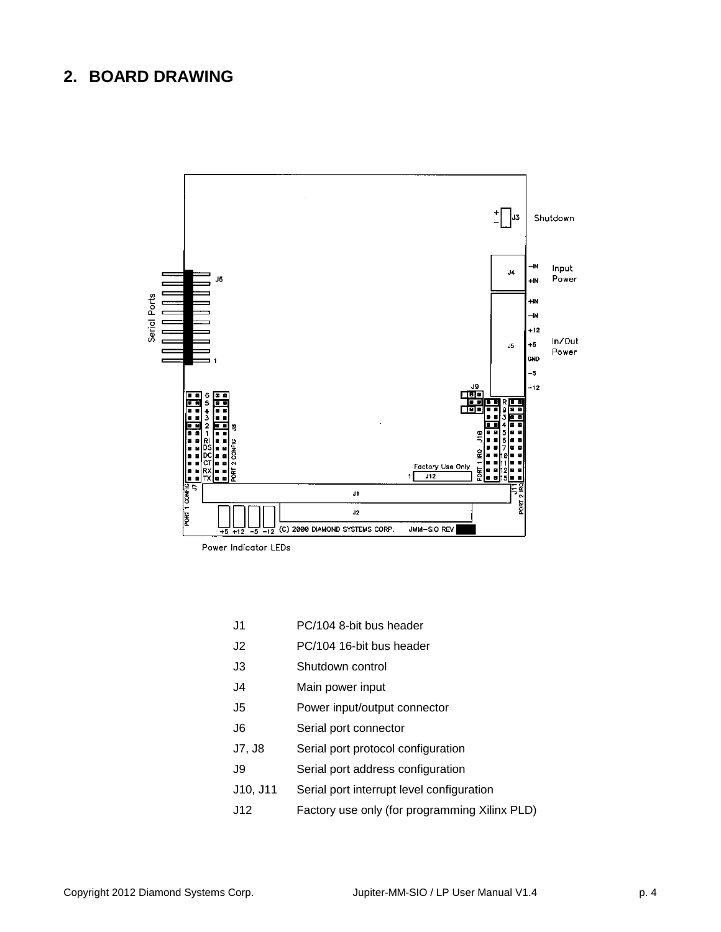### **2. BOARD DRAWING**



Power Indicator LEDs

- J1 PC/104 8-bit bus header
- J2 PC/104 16-bit bus header
- J3 Shutdown control
- J4 Main power input
- J5 Power input/output connector
- J6 Serial port connector
- J7, J8 Serial port protocol configuration
- J9 Serial port address configuration
- J10, J11 Serial port interrupt level configuration
- J12 Factory use only (for programming Xilinx PLD)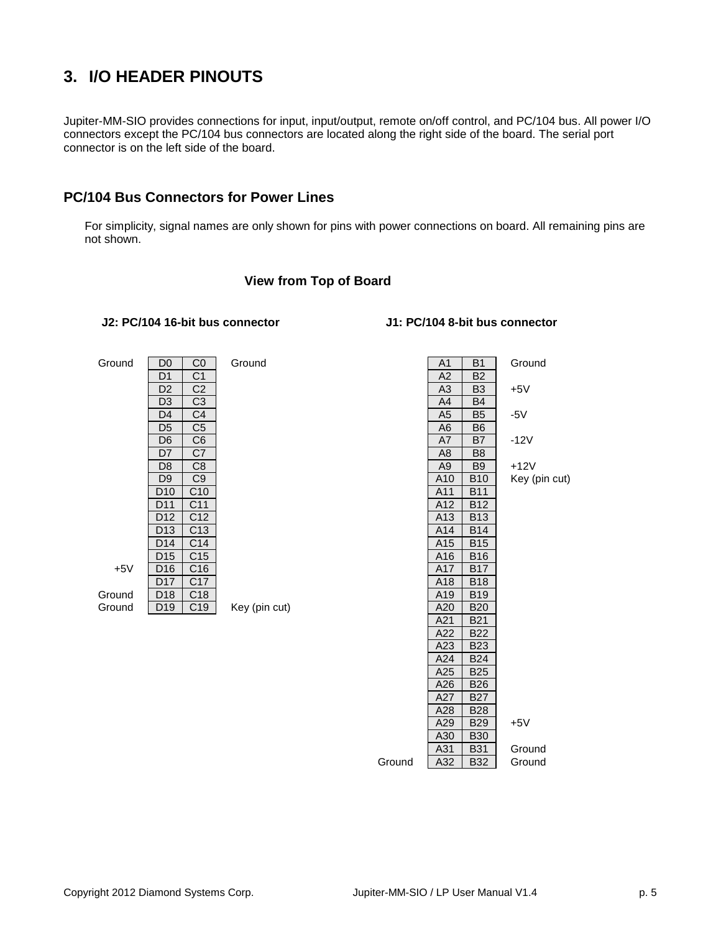## **3. I/O HEADER PINOUTS**

Jupiter-MM-SIO provides connections for input, input/output, remote on/off control, and PC/104 bus. All power I/O connectors except the PC/104 bus connectors are located along the right side of the board. The serial port connector is on the left side of the board.

### **PC/104 Bus Connectors for Power Lines**

For simplicity, signal names are only shown for pins with power connections on board. All remaining pins are not shown.

#### **View from Top of Board**

#### **J2: PC/104 16-bit bus connector J1: PC/104 8-bit bus connector**

| Ground | D <sub>0</sub>  | C <sub>0</sub>  | Ground        | A1              | B <sub>1</sub> | Ground   |
|--------|-----------------|-----------------|---------------|-----------------|----------------|----------|
|        | D1              | C <sub>1</sub>  |               | A <sub>2</sub>  | <b>B2</b>      |          |
|        | D <sub>2</sub>  | C2              |               | A <sub>3</sub>  | B <sub>3</sub> | $+5V$    |
|        | D3              | C <sub>3</sub>  |               | A4              | <b>B4</b>      |          |
|        | D <sub>4</sub>  | C <sub>4</sub>  |               | A <sub>5</sub>  | B <sub>5</sub> | $-5V$    |
|        | D <sub>5</sub>  | C <sub>5</sub>  |               | A6              | B <sub>6</sub> |          |
|        | D <sub>6</sub>  | C6              |               | A7              | B7             | $-12V$   |
|        | D7              | C7              |               | A8              | B <sub>8</sub> |          |
|        | D <sub>8</sub>  | C <sub>8</sub>  |               | A <sub>9</sub>  | B <sub>9</sub> | $+12V$   |
|        | D <sub>9</sub>  | C <sub>9</sub>  |               | A10             | <b>B10</b>     | Key (pir |
|        | D <sub>10</sub> | C10             |               | A11             | <b>B11</b>     |          |
|        | D11             | C <sub>11</sub> |               | A12             | <b>B12</b>     |          |
|        | D <sub>12</sub> | C <sub>12</sub> |               | A <sub>13</sub> | <b>B13</b>     |          |
|        | D <sub>13</sub> | C <sub>13</sub> |               | A14             | <b>B14</b>     |          |
|        | D14             | C <sub>14</sub> |               | A <sub>15</sub> | <b>B15</b>     |          |
|        | D <sub>15</sub> | C <sub>15</sub> |               | A16             | <b>B16</b>     |          |
| $+5V$  | D <sub>16</sub> | C16             |               | A17             | <b>B17</b>     |          |
|        | D17             | C <sub>17</sub> |               | A18             | <b>B18</b>     |          |
| Ground | D <sub>18</sub> | C18             |               | A19             | <b>B19</b>     |          |
| Ground | D <sub>19</sub> | C19             | Key (pin cut) | A20             | <b>B20</b>     |          |
|        |                 |                 |               |                 |                |          |

| $\overline{D0}$  | C <sub>0</sub>  | Ground        |        | A <sub>1</sub>  | B <sub>1</sub> | Ground        |
|------------------|-----------------|---------------|--------|-----------------|----------------|---------------|
| $\overline{D1}$  | C <sub>1</sub>  |               |        | A2              | B <sub>2</sub> |               |
| $\overline{D2}$  | C <sub>2</sub>  |               |        | A3              | B <sub>3</sub> | $+5V$         |
| $\overline{D3}$  | C <sub>3</sub>  |               |        | A4              | B4             |               |
| D4               | C <sub>4</sub>  |               |        | A <sub>5</sub>  | B <sub>5</sub> | $-5V$         |
| $\overline{D5}$  | C <sub>5</sub>  |               |        | A6              | B6             |               |
| D <sub>6</sub>   | C <sub>6</sub>  |               |        | A7              | B7             | $-12V$        |
| $\overline{D7}$  | C7              |               |        | A8              | B <sub>8</sub> |               |
| <u>D8</u>        | C <sub>8</sub>  |               |        | A <sub>9</sub>  | B <sub>9</sub> | $+12V$        |
| <u>D9</u>        | C <sub>9</sub>  |               |        | A <sub>10</sub> | <b>B10</b>     | Key (pin cut) |
| <b>D10</b>       | C10             |               |        | A11             | <b>B11</b>     |               |
| $\overline{)11}$ | C11             |               |        | A12             | <b>B12</b>     |               |
| D12              | C <sub>12</sub> |               |        | A <sub>13</sub> | <b>B13</b>     |               |
| 013              | C <sub>13</sub> |               |        | A14             | <b>B14</b>     |               |
| 014              | C14             |               |        | A <sub>15</sub> | <b>B15</b>     |               |
| 215              | C <sub>15</sub> |               |        | A16             | <b>B16</b>     |               |
| <b>016</b>       | C <sub>16</sub> |               |        | A17             | <b>B17</b>     |               |
| 217              | C <sub>17</sub> |               |        | A18             | <b>B18</b>     |               |
| $\overline{)18}$ | C18             |               |        | A19             | <b>B19</b>     |               |
| <b>D19</b>       | C <sub>19</sub> | Key (pin cut) |        | A20             | <b>B20</b>     |               |
|                  |                 |               |        | A21             | <b>B21</b>     |               |
|                  |                 |               |        | A22             | <b>B22</b>     |               |
|                  |                 |               |        | A23             | <b>B23</b>     |               |
|                  |                 |               |        | A24             | <b>B24</b>     |               |
|                  |                 |               |        | A25             | <b>B25</b>     |               |
|                  |                 |               |        | A26             | <b>B26</b>     |               |
|                  |                 |               |        | A27             | <b>B27</b>     |               |
|                  |                 |               |        | A28             | <b>B28</b>     |               |
|                  |                 |               |        | A29             | <b>B29</b>     | $+5V$         |
|                  |                 |               |        | A30             | <b>B30</b>     |               |
|                  |                 |               |        | A31             | <b>B31</b>     | Ground        |
|                  |                 |               | Ground | A32             | <b>B32</b>     | Ground        |
|                  |                 |               |        |                 |                |               |

#### D7 C7 A8 B8 D8 C8 A9 B9 +12V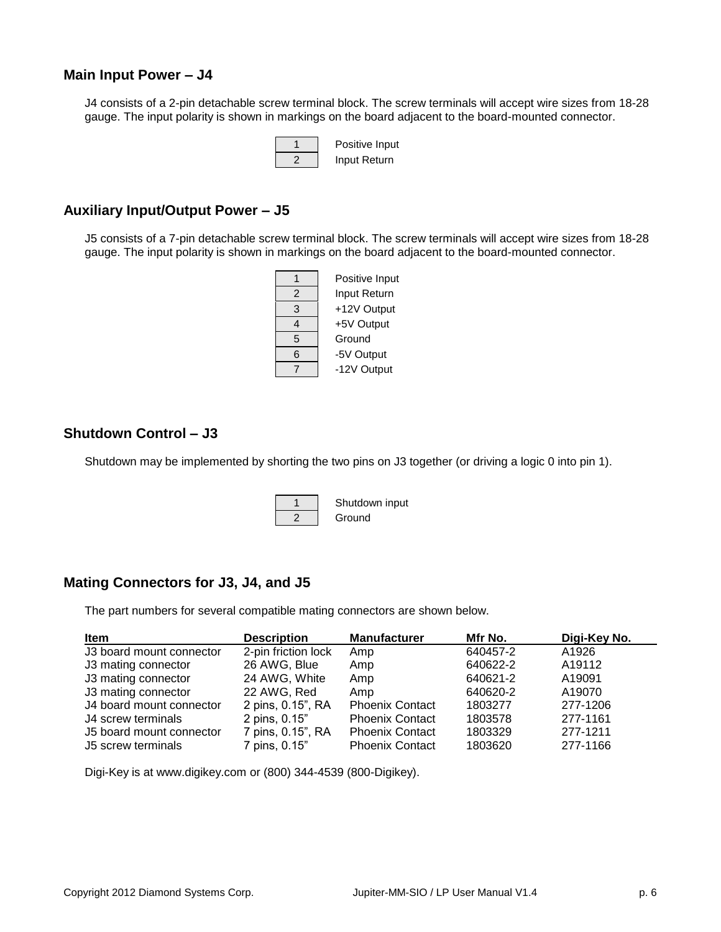#### **Main Input Power – J4**

J4 consists of a 2-pin detachable screw terminal block. The screw terminals will accept wire sizes from 18-28 gauge. The input polarity is shown in markings on the board adjacent to the board-mounted connector.



#### **Auxiliary Input/Output Power – J5**

J5 consists of a 7-pin detachable screw terminal block. The screw terminals will accept wire sizes from 18-28 gauge. The input polarity is shown in markings on the board adjacent to the board-mounted connector.



### **Shutdown Control – J3**

Shutdown may be implemented by shorting the two pins on J3 together (or driving a logic 0 into pin 1).

1 | Shutdown input 2 Ground

### **Mating Connectors for J3, J4, and J5**

The part numbers for several compatible mating connectors are shown below.

| <b>Item</b>              | <b>Description</b>  | <b>Manufacturer</b>    | Mfr No.  | Digi-Key No. |
|--------------------------|---------------------|------------------------|----------|--------------|
| J3 board mount connector | 2-pin friction lock | Amp                    | 640457-2 | A1926        |
| J3 mating connector      | 26 AWG, Blue        | Amp                    | 640622-2 | A19112       |
| J3 mating connector      | 24 AWG, White       | Amp                    | 640621-2 | A19091       |
| J3 mating connector      | 22 AWG, Red         | Amp                    | 640620-2 | A19070       |
| J4 board mount connector | 2 pins, 0.15", RA   | <b>Phoenix Contact</b> | 1803277  | 277-1206     |
| J4 screw terminals       | 2 pins, 0.15"       | <b>Phoenix Contact</b> | 1803578  | 277-1161     |
| J5 board mount connector | 7 pins, 0.15", RA   | <b>Phoenix Contact</b> | 1803329  | 277-1211     |
| J5 screw terminals       | 7 pins, 0.15"       | <b>Phoenix Contact</b> | 1803620  | 277-1166     |

Digi-Key is at www.digikey.com or (800) 344-4539 (800-Digikey).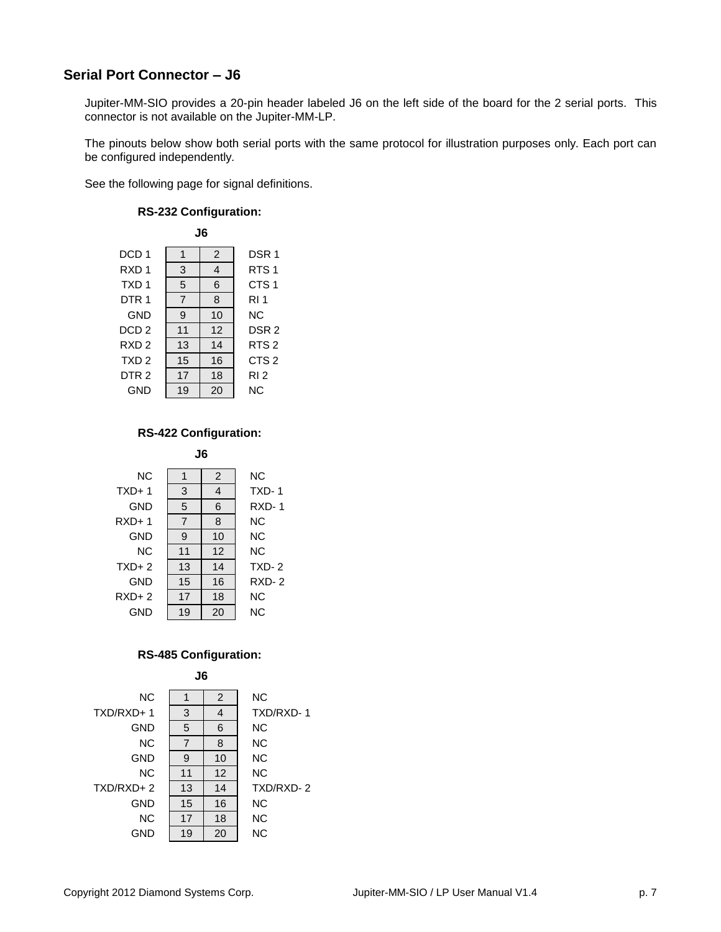### **Serial Port Connector – J6**

Jupiter-MM-SIO provides a 20-pin header labeled J6 on the left side of the board for the 2 serial ports. This connector is not available on the Jupiter-MM-LP.

The pinouts below show both serial ports with the same protocol for illustration purposes only. Each port can be configured independently.

See the following page for signal definitions.



#### **RS-232 Configuration:**

### **RS-422 Configuration:**



#### **RS-485 Configuration:**

**J6**

| <b>NC</b>     |                | 2  | ΝC        |
|---------------|----------------|----|-----------|
| TXD/RXD+1     | 3              | 4  | TXD/RXD-1 |
| GND           | 5              | 6  | <b>NC</b> |
| <b>NC</b>     | $\overline{7}$ | 8  | <b>NC</b> |
| GND           | 9              | 10 | <b>NC</b> |
| <b>NC</b>     | 11             | 12 | <b>NC</b> |
| $TXD/RXD + 2$ | 13             | 14 | TXD/RXD-2 |
| GND           | 15             | 16 | <b>NC</b> |
| <b>NC</b>     | 17             | 18 | <b>NC</b> |
| GND           | 19             | 20 | <b>NC</b> |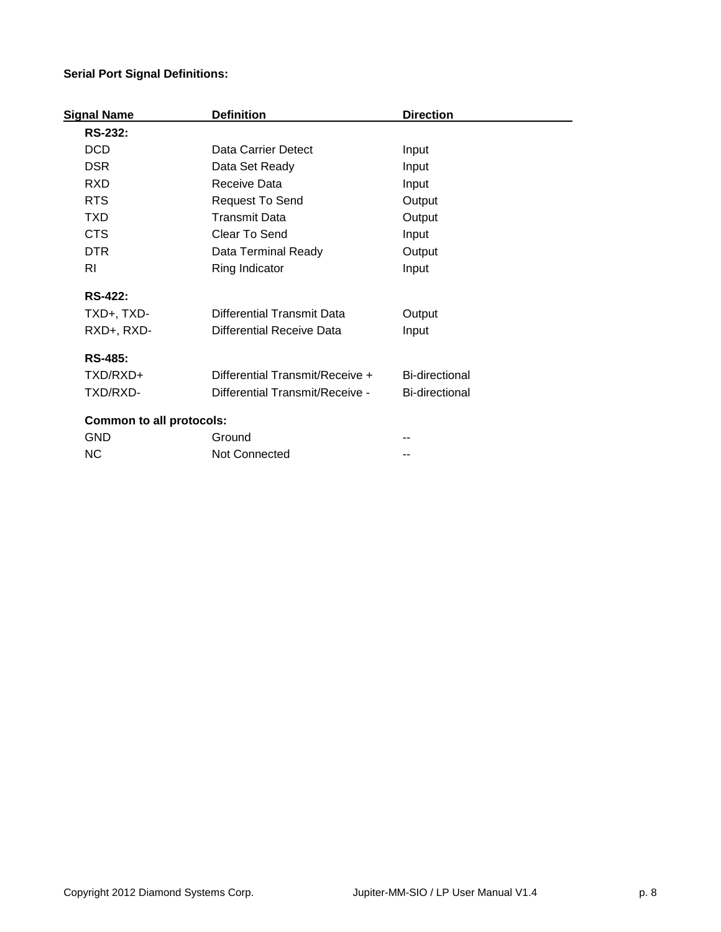### **Serial Port Signal Definitions:**

| Signal Name                     | <b>Definition</b>               | <b>Direction</b>      |  |
|---------------------------------|---------------------------------|-----------------------|--|
| <b>RS-232:</b>                  |                                 |                       |  |
| <b>DCD</b>                      | Data Carrier Detect             | Input                 |  |
| <b>DSR</b>                      | Data Set Ready                  | Input                 |  |
| <b>RXD</b>                      | Receive Data                    | Input                 |  |
| <b>RTS</b>                      | Request To Send                 | Output                |  |
| <b>TXD</b>                      | <b>Transmit Data</b>            | Output                |  |
| <b>CTS</b>                      | Clear To Send                   | Input                 |  |
| <b>DTR</b>                      | Data Terminal Ready             | Output                |  |
| <b>RI</b>                       | Ring Indicator                  | Input                 |  |
| <b>RS-422:</b>                  |                                 |                       |  |
| TXD+, TXD-                      | Differential Transmit Data      | Output                |  |
| RXD+, RXD-                      | Differential Receive Data       | Input                 |  |
| <b>RS-485:</b>                  |                                 |                       |  |
| TXD/RXD+                        | Differential Transmit/Receive + | <b>Bi-directional</b> |  |
| TXD/RXD-                        | Differential Transmit/Receive - | <b>Bi-directional</b> |  |
| <b>Common to all protocols:</b> |                                 |                       |  |
| <b>GND</b>                      | Ground                          |                       |  |
| <b>NC</b>                       | <b>Not Connected</b>            |                       |  |
|                                 |                                 |                       |  |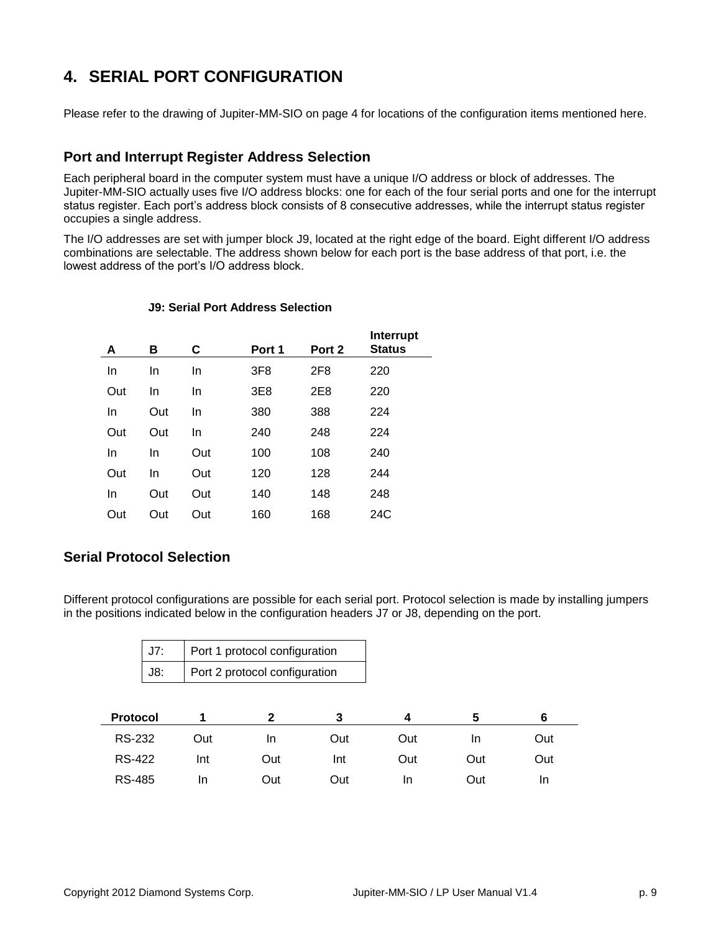# **4. SERIAL PORT CONFIGURATION**

Please refer to the drawing of Jupiter-MM-SIO on page 4 for locations of the configuration items mentioned here.

### **Port and Interrupt Register Address Selection**

Each peripheral board in the computer system must have a unique I/O address or block of addresses. The Jupiter-MM-SIO actually uses five I/O address blocks: one for each of the four serial ports and one for the interrupt status register. Each port's address block consists of 8 consecutive addresses, while the interrupt status register occupies a single address.

The I/O addresses are set with jumper block J9, located at the right edge of the board. Eight different I/O address combinations are selectable. The address shown below for each port is the base address of that port, i.e. the lowest address of the port's I/O address block.

| А   | в   | C   | Port 1          | Port 2          | Interrupt<br><b>Status</b> |  |
|-----|-----|-----|-----------------|-----------------|----------------------------|--|
| In  | In  | In  | 3F <sub>8</sub> | 2F <sub>8</sub> | 220                        |  |
| Out | In  | In  | 3E8             | 2E8             | 220                        |  |
| In  | Out | In  | 380             | 388             | 224                        |  |
| Out | Out | In  | 240             | 248             | 224                        |  |
| In  | In  | Out | 100             | 108             | 240                        |  |
| Out | In  | Out | 120             | 128             | 244                        |  |
| In  | Out | Out | 140             | 148             | 248                        |  |
| Out | Out | Out | 160             | 168             | 24C                        |  |

#### **J9: Serial Port Address Selection**

### **Serial Protocol Selection**

Different protocol configurations are possible for each serial port. Protocol selection is made by installing jumpers in the positions indicated below in the configuration headers J7 or J8, depending on the port.

| J7:             |     | Port 1 protocol configuration |     |     |     |           |
|-----------------|-----|-------------------------------|-----|-----|-----|-----------|
| J8:             |     | Port 2 protocol configuration |     |     |     |           |
|                 |     |                               |     |     |     |           |
| <b>Protocol</b> | 1   | $\mathbf{2}$                  | 3   | 4   | 5   | 6         |
| RS-232          | Out | In                            | Out | Out | In. | Out       |
| <b>RS-422</b>   | Int | Out                           | Int | Out | Out | Out       |
| <b>RS-485</b>   | In  | Out                           | Out | In. | Out | <u>In</u> |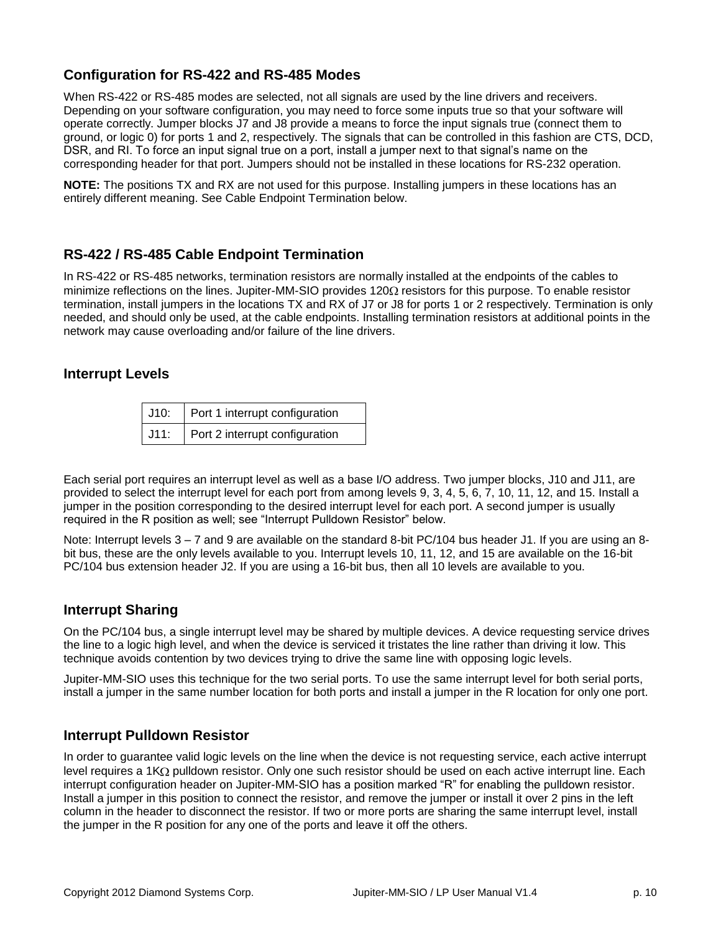### **Configuration for RS-422 and RS-485 Modes**

When RS-422 or RS-485 modes are selected, not all signals are used by the line drivers and receivers. Depending on your software configuration, you may need to force some inputs true so that your software will operate correctly. Jumper blocks J7 and J8 provide a means to force the input signals true (connect them to ground, or logic 0) for ports 1 and 2, respectively. The signals that can be controlled in this fashion are CTS, DCD, DSR, and RI. To force an input signal true on a port, install a jumper next to that signal's name on the corresponding header for that port. Jumpers should not be installed in these locations for RS-232 operation.

**NOTE:** The positions TX and RX are not used for this purpose. Installing jumpers in these locations has an entirely different meaning. See Cable Endpoint Termination below.

### **RS-422 / RS-485 Cable Endpoint Termination**

In RS-422 or RS-485 networks, termination resistors are normally installed at the endpoints of the cables to minimize reflections on the lines. Jupiter-MM-SIO provides 120 $\Omega$  resistors for this purpose. To enable resistor termination, install jumpers in the locations TX and RX of J7 or J8 for ports 1 or 2 respectively. Termination is only needed, and should only be used, at the cable endpoints. Installing termination resistors at additional points in the network may cause overloading and/or failure of the line drivers.

### **Interrupt Levels**

| J10: Port 1 interrupt configuration           |
|-----------------------------------------------|
| $\sqrt{J11}$ : Port 2 interrupt configuration |

Each serial port requires an interrupt level as well as a base I/O address. Two jumper blocks, J10 and J11, are provided to select the interrupt level for each port from among levels 9, 3, 4, 5, 6, 7, 10, 11, 12, and 15. Install a jumper in the position corresponding to the desired interrupt level for each port. A second jumper is usually required in the R position as well; see "Interrupt Pulldown Resistor" below.

Note: Interrupt levels 3 – 7 and 9 are available on the standard 8-bit PC/104 bus header J1. If you are using an 8 bit bus, these are the only levels available to you. Interrupt levels 10, 11, 12, and 15 are available on the 16-bit PC/104 bus extension header J2. If you are using a 16-bit bus, then all 10 levels are available to you.

### **Interrupt Sharing**

On the PC/104 bus, a single interrupt level may be shared by multiple devices. A device requesting service drives the line to a logic high level, and when the device is serviced it tristates the line rather than driving it low. This technique avoids contention by two devices trying to drive the same line with opposing logic levels.

Jupiter-MM-SIO uses this technique for the two serial ports. To use the same interrupt level for both serial ports, install a jumper in the same number location for both ports and install a jumper in the R location for only one port.

#### **Interrupt Pulldown Resistor**

In order to guarantee valid logic levels on the line when the device is not requesting service, each active interrupt level requires a 1K $\Omega$  pulldown resistor. Only one such resistor should be used on each active interrupt line. Each interrupt configuration header on Jupiter-MM-SIO has a position marked "R" for enabling the pulldown resistor. Install a jumper in this position to connect the resistor, and remove the jumper or install it over 2 pins in the left column in the header to disconnect the resistor. If two or more ports are sharing the same interrupt level, install the jumper in the R position for any one of the ports and leave it off the others.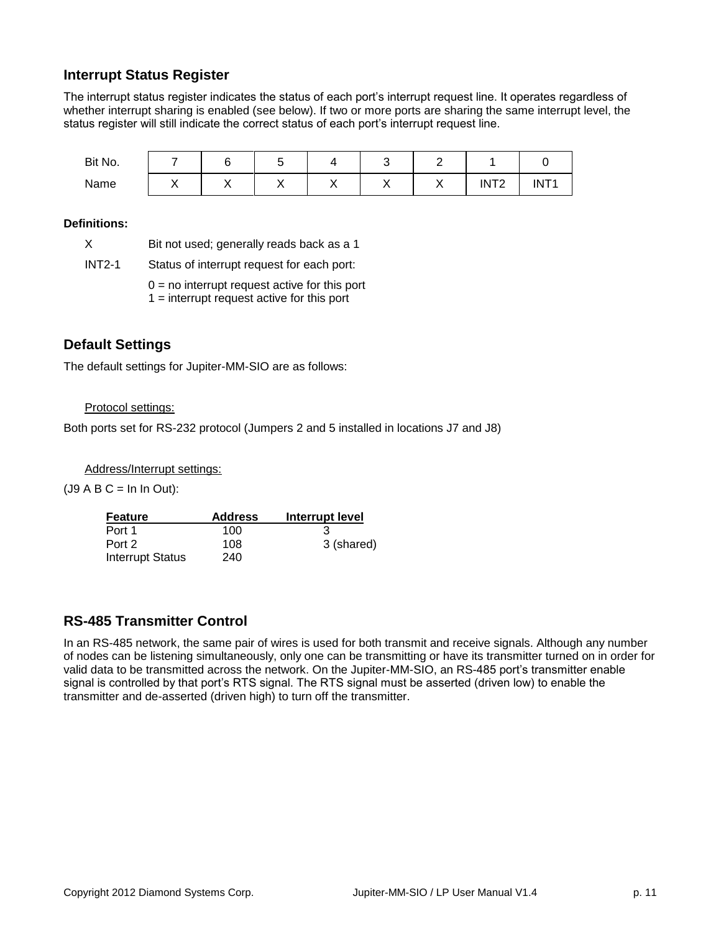### **Interrupt Status Register**

The interrupt status register indicates the status of each port's interrupt request line. It operates regardless of whether interrupt sharing is enabled (see below). If two or more ports are sharing the same interrupt level, the status register will still indicate the correct status of each port's interrupt request line.

| Bit No. |    |    |    |    |    |    |                  |                  |
|---------|----|----|----|----|----|----|------------------|------------------|
| Name    | ,, | ,, | ,, | ,, | ,, | ,, | INT <sub>2</sub> | INT <sub>1</sub> |

#### **Definitions:**

| X        | Bit not used; generally reads back as a 1                                                       |
|----------|-------------------------------------------------------------------------------------------------|
| $INT2-1$ | Status of interrupt request for each port:                                                      |
|          | $0 =$ no interrupt request active for this port<br>$1 =$ interrupt request active for this port |

### **Default Settings**

The default settings for Jupiter-MM-SIO are as follows:

#### Protocol settings:

Both ports set for RS-232 protocol (Jumpers 2 and 5 installed in locations J7 and J8)

Address/Interrupt settings:

 $(J9 A B C = In In Out):$ 

| Feature                 | <b>Address</b> | Interrupt level |
|-------------------------|----------------|-----------------|
| Port 1                  | 100            |                 |
| Port 2                  | 108            | 3 (shared)      |
| <b>Interrupt Status</b> | 240            |                 |

### **RS-485 Transmitter Control**

In an RS-485 network, the same pair of wires is used for both transmit and receive signals. Although any number of nodes can be listening simultaneously, only one can be transmitting or have its transmitter turned on in order for valid data to be transmitted across the network. On the Jupiter-MM-SIO, an RS-485 port's transmitter enable signal is controlled by that port's RTS signal. The RTS signal must be asserted (driven low) to enable the transmitter and de-asserted (driven high) to turn off the transmitter.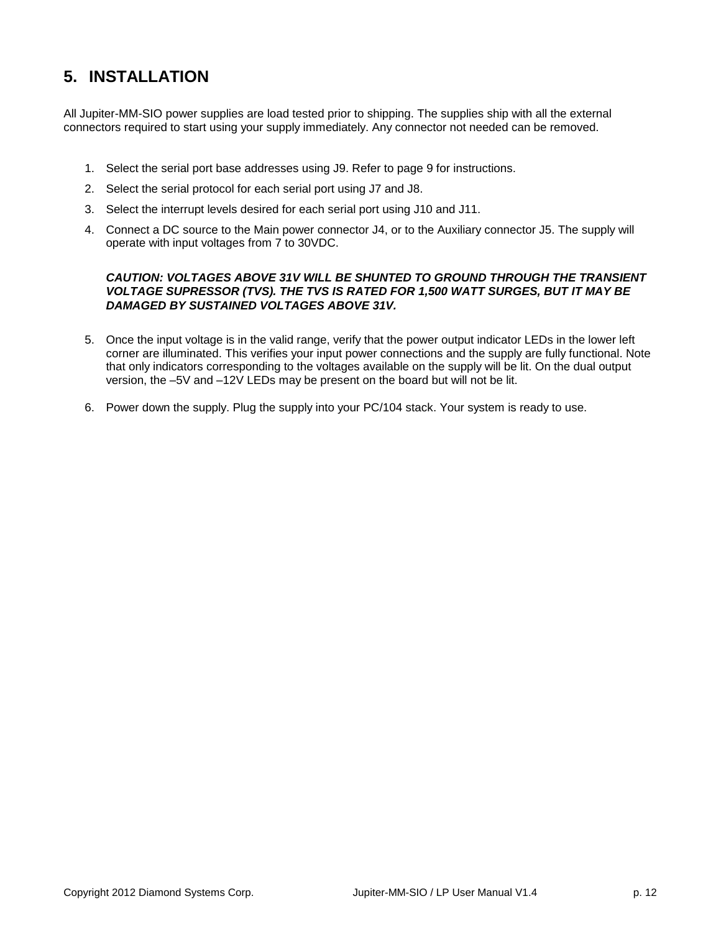# **5. INSTALLATION**

All Jupiter-MM-SIO power supplies are load tested prior to shipping. The supplies ship with all the external connectors required to start using your supply immediately. Any connector not needed can be removed.

- 1. Select the serial port base addresses using J9. Refer to page 9 for instructions.
- 2. Select the serial protocol for each serial port using J7 and J8.
- 3. Select the interrupt levels desired for each serial port using J10 and J11.
- 4. Connect a DC source to the Main power connector J4, or to the Auxiliary connector J5. The supply will operate with input voltages from 7 to 30VDC.

#### *CAUTION: VOLTAGES ABOVE 31V WILL BE SHUNTED TO GROUND THROUGH THE TRANSIENT VOLTAGE SUPRESSOR (TVS). THE TVS IS RATED FOR 1,500 WATT SURGES, BUT IT MAY BE DAMAGED BY SUSTAINED VOLTAGES ABOVE 31V.*

- 5. Once the input voltage is in the valid range, verify that the power output indicator LEDs in the lower left corner are illuminated. This verifies your input power connections and the supply are fully functional. Note that only indicators corresponding to the voltages available on the supply will be lit. On the dual output version, the –5V and –12V LEDs may be present on the board but will not be lit.
- 6. Power down the supply. Plug the supply into your PC/104 stack. Your system is ready to use.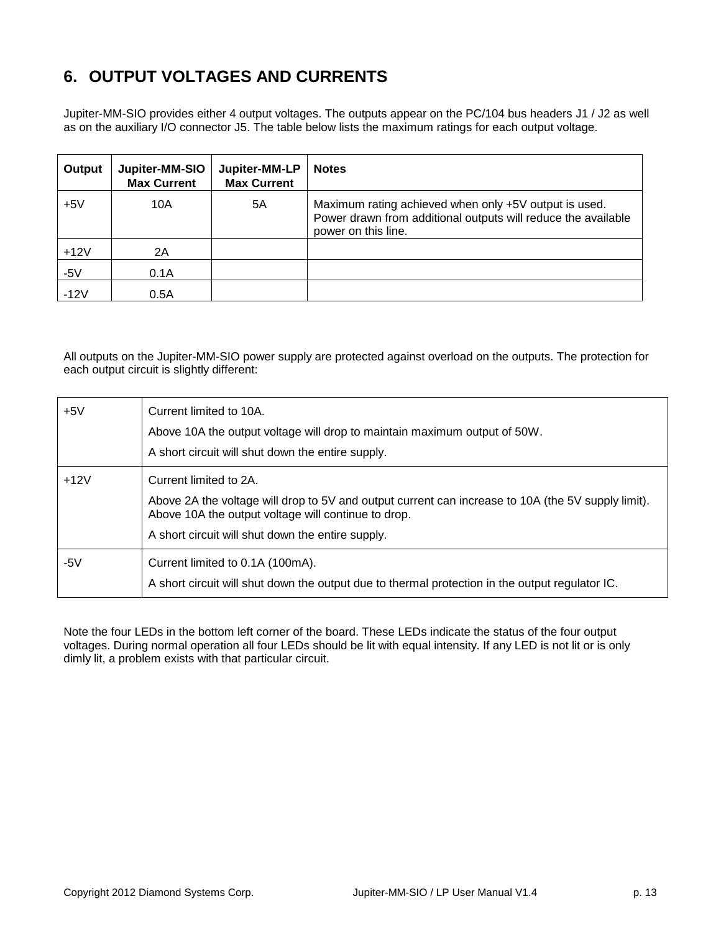# **6. OUTPUT VOLTAGES AND CURRENTS**

Jupiter-MM-SIO provides either 4 output voltages. The outputs appear on the PC/104 bus headers J1 / J2 as well as on the auxiliary I/O connector J5. The table below lists the maximum ratings for each output voltage.

| Output | Jupiter-MM-SIO<br><b>Max Current</b> | Jupiter-MM-LP<br><b>Max Current</b> | <b>Notes</b>                                                                                                                                  |
|--------|--------------------------------------|-------------------------------------|-----------------------------------------------------------------------------------------------------------------------------------------------|
| $+5V$  | 10A                                  | 5Α                                  | Maximum rating achieved when only +5V output is used.<br>Power drawn from additional outputs will reduce the available<br>power on this line. |
| $+12V$ | 2A                                   |                                     |                                                                                                                                               |
| $-5V$  | 0.1A                                 |                                     |                                                                                                                                               |
| $-12V$ | 0.5A                                 |                                     |                                                                                                                                               |

All outputs on the Jupiter-MM-SIO power supply are protected against overload on the outputs. The protection for each output circuit is slightly different:

| $+5V$  | Current limited to 10A.<br>Above 10A the output voltage will drop to maintain maximum output of 50W.<br>A short circuit will shut down the entire supply.                                                                                |
|--------|------------------------------------------------------------------------------------------------------------------------------------------------------------------------------------------------------------------------------------------|
| $+12V$ | Current limited to 2A.<br>Above 2A the voltage will drop to 5V and output current can increase to 10A (the 5V supply limit).<br>Above 10A the output voltage will continue to drop.<br>A short circuit will shut down the entire supply. |
| -5 $V$ | Current limited to 0.1A (100mA).<br>A short circuit will shut down the output due to thermal protection in the output regulator IC.                                                                                                      |

Note the four LEDs in the bottom left corner of the board. These LEDs indicate the status of the four output voltages. During normal operation all four LEDs should be lit with equal intensity. If any LED is not lit or is only dimly lit, a problem exists with that particular circuit.